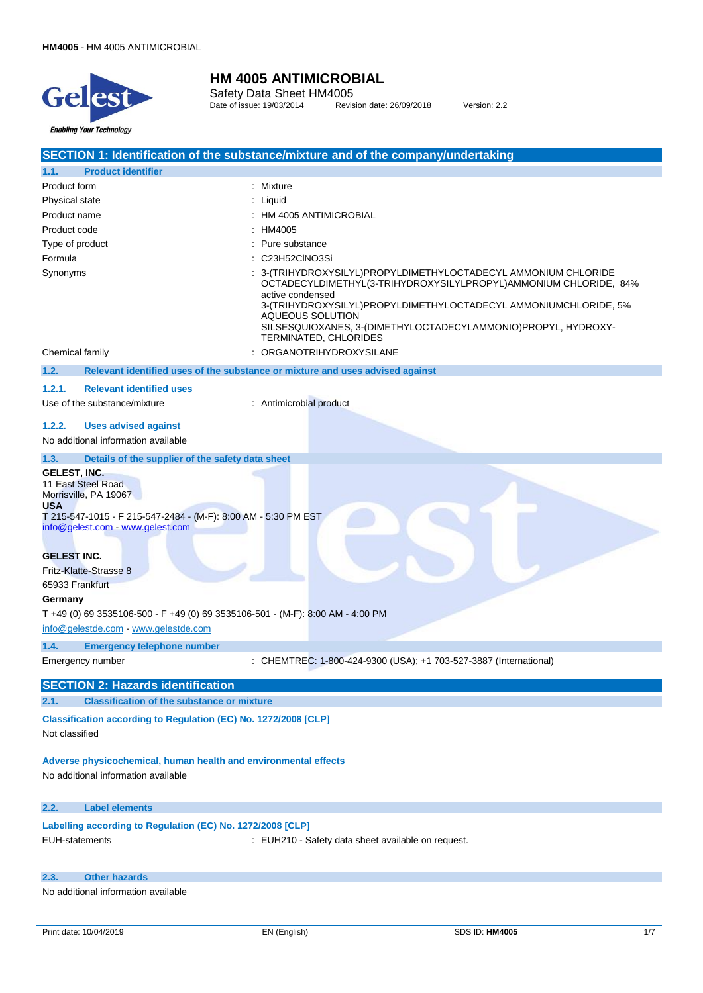

Safety Data Sheet HM4005 Date of issue: 19/03/2014 Revision date: 26/09/2018 Version: 2.2

|                                                                                                                                                                                        | SECTION 1: Identification of the substance/mixture and of the company/undertaking                                                                                                                                                                                                                                                       |
|----------------------------------------------------------------------------------------------------------------------------------------------------------------------------------------|-----------------------------------------------------------------------------------------------------------------------------------------------------------------------------------------------------------------------------------------------------------------------------------------------------------------------------------------|
| 1.1.<br><b>Product identifier</b>                                                                                                                                                      |                                                                                                                                                                                                                                                                                                                                         |
| Product form                                                                                                                                                                           | : Mixture                                                                                                                                                                                                                                                                                                                               |
| Physical state                                                                                                                                                                         | Liquid                                                                                                                                                                                                                                                                                                                                  |
| Product name                                                                                                                                                                           | HM 4005 ANTIMICROBIAL                                                                                                                                                                                                                                                                                                                   |
| Product code                                                                                                                                                                           | HM4005                                                                                                                                                                                                                                                                                                                                  |
| Type of product                                                                                                                                                                        | Pure substance                                                                                                                                                                                                                                                                                                                          |
| Formula                                                                                                                                                                                | C23H52CINO3Si                                                                                                                                                                                                                                                                                                                           |
| Synonyms                                                                                                                                                                               | 3- (TRIHYDROXYSILYL) PROPYLDIMETHYLOCTADECYL AMMONIUM CHLORIDE<br>OCTADECYLDIMETHYL(3-TRIHYDROXYSILYLPROPYL)AMMONIUM CHLORIDE, 84%<br>active condensed<br>3-(TRIHYDROXYSILYL)PROPYLDIMETHYLOCTADECYL AMMONIUMCHLORIDE, 5%<br>AQUEOUS SOLUTION<br>SILSESQUIOXANES, 3-(DIMETHYLOCTADECYLAMMONIO)PROPYL, HYDROXY-<br>TERMINATED, CHLORIDES |
| Chemical family                                                                                                                                                                        | ORGANOTRIHYDROXYSILANE                                                                                                                                                                                                                                                                                                                  |
| 1.2.                                                                                                                                                                                   | Relevant identified uses of the substance or mixture and uses advised against                                                                                                                                                                                                                                                           |
| 1.2.1.<br><b>Relevant identified uses</b>                                                                                                                                              |                                                                                                                                                                                                                                                                                                                                         |
| Use of the substance/mixture                                                                                                                                                           | : Antimicrobial product                                                                                                                                                                                                                                                                                                                 |
|                                                                                                                                                                                        |                                                                                                                                                                                                                                                                                                                                         |
| 1.2.2.<br><b>Uses advised against</b><br>No additional information available                                                                                                           |                                                                                                                                                                                                                                                                                                                                         |
| Details of the supplier of the safety data sheet<br>1.3.                                                                                                                               |                                                                                                                                                                                                                                                                                                                                         |
| <b>GELEST, INC.</b><br>11 East Steel Road<br>Morrisville, PA 19067<br><b>USA</b><br>T 215-547-1015 - F 215-547-2484 - (M-F): 8:00 AM - 5:30 PM EST<br>info@gelest.com - www.gelest.com |                                                                                                                                                                                                                                                                                                                                         |
| <b>GELEST INC.</b><br>Fritz-Klatte-Strasse 8                                                                                                                                           |                                                                                                                                                                                                                                                                                                                                         |
| 65933 Frankfurt                                                                                                                                                                        |                                                                                                                                                                                                                                                                                                                                         |
| Germany                                                                                                                                                                                |                                                                                                                                                                                                                                                                                                                                         |
| T +49 (0) 69 3535106-500 - F +49 (0) 69 3535106-501 - (M-F): 8:00 AM - 4:00 PM                                                                                                         |                                                                                                                                                                                                                                                                                                                                         |
| info@gelestde.com - www.gelestde.com                                                                                                                                                   |                                                                                                                                                                                                                                                                                                                                         |
| 1.4.<br><b>Emergency telephone number</b>                                                                                                                                              |                                                                                                                                                                                                                                                                                                                                         |
| Emergency number                                                                                                                                                                       | : CHEMTREC: 1-800-424-9300 (USA); +1 703-527-3887 (International)                                                                                                                                                                                                                                                                       |
| <b>SECTION 2: Hazards identification</b>                                                                                                                                               |                                                                                                                                                                                                                                                                                                                                         |
| <b>Classification of the substance or mixture</b><br>2.1.                                                                                                                              |                                                                                                                                                                                                                                                                                                                                         |
| Classification according to Regulation (EC) No. 1272/2008 [CLP]                                                                                                                        |                                                                                                                                                                                                                                                                                                                                         |
| Not classified                                                                                                                                                                         |                                                                                                                                                                                                                                                                                                                                         |
| Adverse physicochemical, human health and environmental effects<br>No additional information available                                                                                 |                                                                                                                                                                                                                                                                                                                                         |
| 2.2.<br><b>Label elements</b>                                                                                                                                                          |                                                                                                                                                                                                                                                                                                                                         |
| Labelling according to Regulation (EC) No. 1272/2008 [CLP]<br><b>EUH-statements</b>                                                                                                    | : EUH210 - Safety data sheet available on request.                                                                                                                                                                                                                                                                                      |
|                                                                                                                                                                                        |                                                                                                                                                                                                                                                                                                                                         |

**2.3. Other hazards**

No additional information available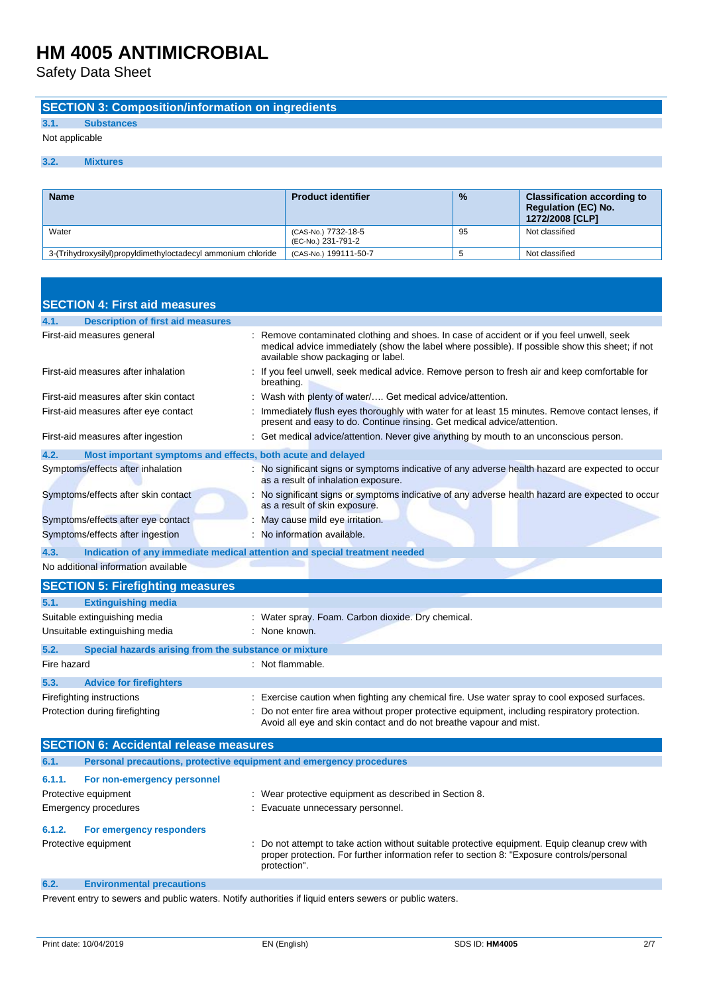Safety Data Sheet

### **SECTION 3: Composition/information on ingredients**

### **3.1. Substances**

Not applicable

#### **3.2. Mixtures**

| <b>Name</b>                                                  | <b>Product identifier</b>                 | $\frac{9}{6}$ | <b>Classification according to</b><br><b>Requiation (EC) No.</b><br>1272/2008 [CLP] |
|--------------------------------------------------------------|-------------------------------------------|---------------|-------------------------------------------------------------------------------------|
| Water                                                        | (CAS-No.) 7732-18-5<br>(EC-No.) 231-791-2 | 95            | Not classified                                                                      |
| 3-(Trihydroxysilyl)propyldimethyloctadecyl ammonium chloride | (CAS-No.) 199111-50-7                     | t             | Not classified                                                                      |

| <b>SECTION 4: First aid measures</b>                                |                                                                                                                                                                                                                                  |
|---------------------------------------------------------------------|----------------------------------------------------------------------------------------------------------------------------------------------------------------------------------------------------------------------------------|
| <b>Description of first aid measures</b><br>4.1.                    |                                                                                                                                                                                                                                  |
| First-aid measures general                                          | Remove contaminated clothing and shoes. In case of accident or if you feel unwell, seek<br>medical advice immediately (show the label where possible). If possible show this sheet; if not<br>available show packaging or label. |
| First-aid measures after inhalation                                 | If you feel unwell, seek medical advice. Remove person to fresh air and keep comfortable for<br>breathing.                                                                                                                       |
| First-aid measures after skin contact                               | Wash with plenty of water/ Get medical advice/attention.                                                                                                                                                                         |
| First-aid measures after eye contact                                | Immediately flush eyes thoroughly with water for at least 15 minutes. Remove contact lenses, if<br>present and easy to do. Continue rinsing. Get medical advice/attention.                                                       |
| First-aid measures after ingestion                                  | Get medical advice/attention. Never give anything by mouth to an unconscious person.                                                                                                                                             |
| 4.2.<br>Most important symptoms and effects, both acute and delayed |                                                                                                                                                                                                                                  |
| Symptoms/effects after inhalation                                   | No significant signs or symptoms indicative of any adverse health hazard are expected to occur<br>as a result of inhalation exposure.                                                                                            |
| Symptoms/effects after skin contact                                 | No significant signs or symptoms indicative of any adverse health hazard are expected to occur<br>as a result of skin exposure.                                                                                                  |
| Symptoms/effects after eye contact                                  | May cause mild eye irritation.                                                                                                                                                                                                   |
| Symptoms/effects after ingestion                                    | No information available.                                                                                                                                                                                                        |
| 4.3.                                                                | Indication of any immediate medical attention and special treatment needed                                                                                                                                                       |
| No additional information available                                 |                                                                                                                                                                                                                                  |
| <b>SECTION 5: Firefighting measures</b>                             |                                                                                                                                                                                                                                  |
| 5.1.<br><b>Extinguishing media</b>                                  |                                                                                                                                                                                                                                  |
| Suitable extinguishing media                                        | Water spray. Foam. Carbon dioxide. Dry chemical.                                                                                                                                                                                 |
| Unsuitable extinguishing media                                      | : None known.                                                                                                                                                                                                                    |
| 5.2.<br>Special hazards arising from the substance or mixture       |                                                                                                                                                                                                                                  |
| Fire hazard                                                         | : Not flammable.                                                                                                                                                                                                                 |
| 5.3.<br><b>Advice for firefighters</b>                              |                                                                                                                                                                                                                                  |
| Firefighting instructions                                           | Exercise caution when fighting any chemical fire. Use water spray to cool exposed surfaces.                                                                                                                                      |
| Protection during firefighting                                      | Do not enter fire area without proper protective equipment, including respiratory protection.<br>Avoid all eye and skin contact and do not breathe vapour and mist.                                                              |
| <b>SECTION 6: Accidental release measures</b>                       |                                                                                                                                                                                                                                  |

| 6.1.                              | Personal precautions, protective equipment and emergency procedures |                                                                                                                                                                                                            |
|-----------------------------------|---------------------------------------------------------------------|------------------------------------------------------------------------------------------------------------------------------------------------------------------------------------------------------------|
| 6.1.1.                            | For non-emergency personnel                                         |                                                                                                                                                                                                            |
|                                   | Protective equipment                                                | : Wear protective equipment as described in Section 8.                                                                                                                                                     |
|                                   | Emergency procedures                                                | Evacuate unnecessary personnel.                                                                                                                                                                            |
| 6.1.2.                            | For emergency responders                                            |                                                                                                                                                                                                            |
|                                   | Protective equipment                                                | Do not attempt to take action without suitable protective equipment. Equip cleanup crew with<br>proper protection. For further information refer to section 8: "Exposure controls/personal<br>protection". |
| the company's company's company's |                                                                     |                                                                                                                                                                                                            |

#### **6.2. Environmental precautions**

Prevent entry to sewers and public waters. Notify authorities if liquid enters sewers or public waters.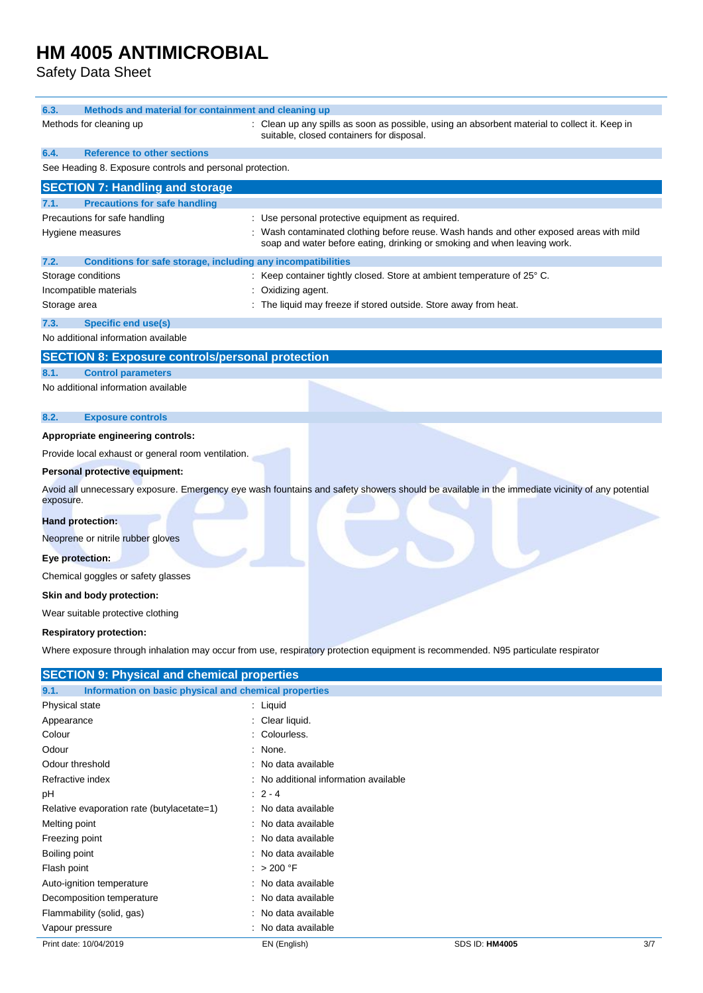Safety Data Sheet

| 6.3.<br>Methods and material for containment and cleaning up         |                                                                                                                                                                     |
|----------------------------------------------------------------------|---------------------------------------------------------------------------------------------------------------------------------------------------------------------|
| Methods for cleaning up                                              | : Clean up any spills as soon as possible, using an absorbent material to collect it. Keep in<br>suitable, closed containers for disposal.                          |
| <b>Reference to other sections</b><br>6.4.                           |                                                                                                                                                                     |
| See Heading 8. Exposure controls and personal protection.            |                                                                                                                                                                     |
| <b>SECTION 7: Handling and storage</b>                               |                                                                                                                                                                     |
| <b>Precautions for safe handling</b><br>7.1.                         |                                                                                                                                                                     |
| Precautions for safe handling                                        | : Use personal protective equipment as required.                                                                                                                    |
| Hygiene measures                                                     | : Wash contaminated clothing before reuse. Wash hands and other exposed areas with mild<br>soap and water before eating, drinking or smoking and when leaving work. |
| Conditions for safe storage, including any incompatibilities<br>7.2. |                                                                                                                                                                     |
| Storage conditions                                                   | : Keep container tightly closed. Store at ambient temperature of 25° C.                                                                                             |
| Incompatible materials                                               | : Oxidizing agent.                                                                                                                                                  |
| Storage area                                                         | The liquid may freeze if stored outside. Store away from heat.                                                                                                      |
| <b>Specific end use(s)</b><br>7.3.                                   |                                                                                                                                                                     |
| No additional information available                                  |                                                                                                                                                                     |
| <b>SECTION 8: Exposure controls/personal protection</b>              |                                                                                                                                                                     |
| <b>Control parameters</b><br>8.1.                                    |                                                                                                                                                                     |
| No additional information available                                  |                                                                                                                                                                     |
| 8.2.<br><b>Exposure controls</b>                                     |                                                                                                                                                                     |
| Appropriate engineering controls:                                    |                                                                                                                                                                     |
| Provide local exhaust or general room ventilation.                   |                                                                                                                                                                     |
| Personal protective equipment:                                       |                                                                                                                                                                     |
| exposure.                                                            | Avoid all unnecessary exposure. Emergency eye wash fountains and safety showers should be available in the immediate vicinity of any potential                      |
| <b>Hand protection:</b>                                              |                                                                                                                                                                     |
| Neoprene or nitrile rubber gloves                                    |                                                                                                                                                                     |
| Eye protection:                                                      |                                                                                                                                                                     |
|                                                                      |                                                                                                                                                                     |
| Chemical goggles or safety glasses                                   |                                                                                                                                                                     |
| Skin and body protection:                                            |                                                                                                                                                                     |
| Wear suitable protective clothing                                    |                                                                                                                                                                     |
| <b>Respiratory protection:</b>                                       |                                                                                                                                                                     |
|                                                                      | Where exposure through inhalation may occur from use, respiratory protection equipment is recommended. N95 particulate respirator                                   |
| <b>SECTION 9: Physical and chemical properties</b>                   |                                                                                                                                                                     |
| Information on basic physical and chemical properties<br>9.1.        |                                                                                                                                                                     |
| Physical state                                                       | : Liquid                                                                                                                                                            |
| Appearance<br>Colour                                                 | : Clear liquid.<br>Colourless.                                                                                                                                      |
| Odour                                                                | None.                                                                                                                                                               |
| Odour threshold                                                      | : No data available                                                                                                                                                 |
| Refractive index                                                     | No additional information available                                                                                                                                 |
| pН                                                                   | $2 - 4$                                                                                                                                                             |
| Relative evaporation rate (butylacetate=1)                           | : No data available                                                                                                                                                 |
| Melting point                                                        | No data available                                                                                                                                                   |
| Freezing point                                                       | : No data available                                                                                                                                                 |
| Boiling point                                                        | : No data available                                                                                                                                                 |
| Flash point                                                          | : > 200 °F                                                                                                                                                          |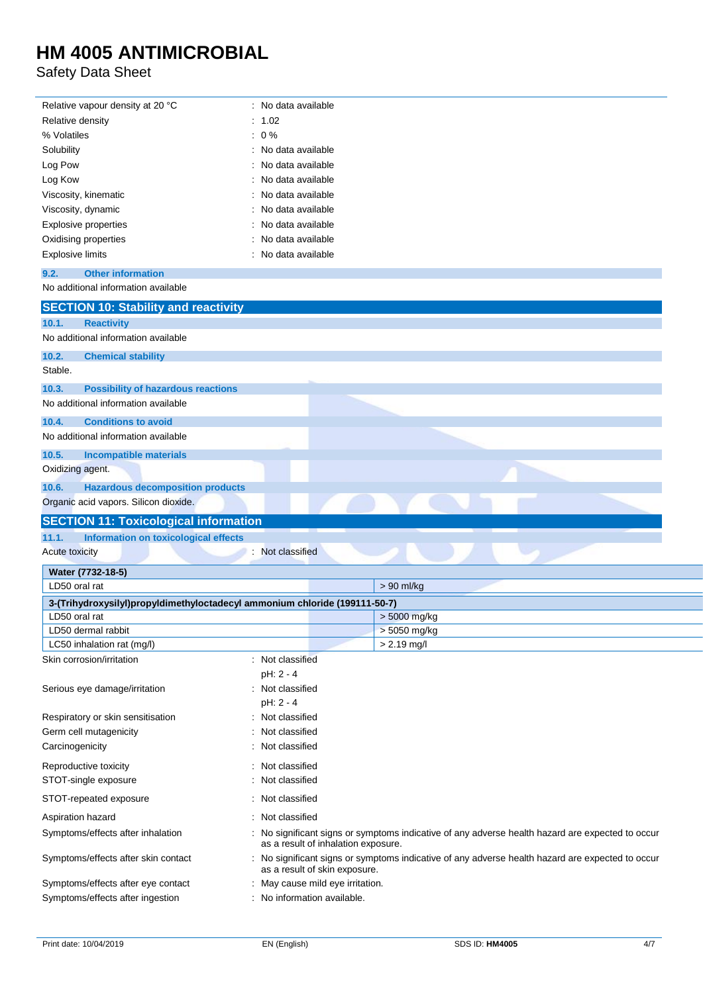Safety Data Sheet

j.

| Relative vapour density at 20 °C                                           | : No data available                                         |                                                                                                |
|----------------------------------------------------------------------------|-------------------------------------------------------------|------------------------------------------------------------------------------------------------|
| Relative density                                                           | : 1.02                                                      |                                                                                                |
| % Volatiles                                                                | $: 0\%$                                                     |                                                                                                |
| Solubility                                                                 | No data available                                           |                                                                                                |
| Log Pow                                                                    | No data available                                           |                                                                                                |
| Log Kow                                                                    | No data available                                           |                                                                                                |
| Viscosity, kinematic                                                       | No data available                                           |                                                                                                |
| Viscosity, dynamic                                                         | No data available                                           |                                                                                                |
| <b>Explosive properties</b>                                                | No data available                                           |                                                                                                |
| Oxidising properties                                                       | No data available                                           |                                                                                                |
| <b>Explosive limits</b>                                                    | No data available                                           |                                                                                                |
| <b>Other information</b><br>9.2.                                           |                                                             |                                                                                                |
| No additional information available                                        |                                                             |                                                                                                |
|                                                                            |                                                             |                                                                                                |
| <b>SECTION 10: Stability and reactivity</b>                                |                                                             |                                                                                                |
| 10.1.<br><b>Reactivity</b>                                                 |                                                             |                                                                                                |
| No additional information available                                        |                                                             |                                                                                                |
| 10.2.<br><b>Chemical stability</b>                                         |                                                             |                                                                                                |
| Stable.                                                                    |                                                             |                                                                                                |
| 10.3.<br><b>Possibility of hazardous reactions</b>                         |                                                             |                                                                                                |
| No additional information available                                        |                                                             |                                                                                                |
|                                                                            |                                                             |                                                                                                |
| 10.4.<br><b>Conditions to avoid</b><br>No additional information available |                                                             |                                                                                                |
|                                                                            |                                                             |                                                                                                |
|                                                                            |                                                             |                                                                                                |
| 10.5.<br><b>Incompatible materials</b>                                     |                                                             |                                                                                                |
| Oxidizing agent.                                                           |                                                             |                                                                                                |
| <b>Hazardous decomposition products</b><br>10.6.                           |                                                             |                                                                                                |
| Organic acid vapors. Silicon dioxide.                                      |                                                             |                                                                                                |
|                                                                            |                                                             |                                                                                                |
| <b>SECTION 11: Toxicological information</b>                               |                                                             |                                                                                                |
| Information on toxicological effects<br>11.1.                              |                                                             |                                                                                                |
| <b>Acute toxicity</b>                                                      | Not classified                                              |                                                                                                |
| Water (7732-18-5)                                                          |                                                             |                                                                                                |
| LD50 oral rat                                                              |                                                             | > 90 ml/kg                                                                                     |
| 3-(Trihydroxysilyl)propyldimethyloctadecyl ammonium chloride (199111-50-7) |                                                             |                                                                                                |
| LD50 oral rat                                                              |                                                             | $> 5000$ mg/kg                                                                                 |
| LD50 dermal rabbit                                                         |                                                             | > 5050 mg/kg                                                                                   |
| LC50 inhalation rat (mg/l)                                                 |                                                             | $> 2.19$ mg/l                                                                                  |
| Skin corrosion/irritation                                                  | : Not classified                                            |                                                                                                |
|                                                                            | pH: 2 - 4                                                   |                                                                                                |
| Serious eye damage/irritation                                              | Not classified                                              |                                                                                                |
|                                                                            | pH: 2 - 4                                                   |                                                                                                |
| Respiratory or skin sensitisation                                          | Not classified                                              |                                                                                                |
| Germ cell mutagenicity                                                     | Not classified                                              |                                                                                                |
| Carcinogenicity                                                            | Not classified                                              |                                                                                                |
| Reproductive toxicity                                                      | Not classified                                              |                                                                                                |
| STOT-single exposure                                                       | Not classified                                              |                                                                                                |
|                                                                            |                                                             |                                                                                                |
| STOT-repeated exposure                                                     | Not classified                                              |                                                                                                |
| Aspiration hazard                                                          | Not classified                                              |                                                                                                |
| Symptoms/effects after inhalation                                          | as a result of inhalation exposure.                         | No significant signs or symptoms indicative of any adverse health hazard are expected to occur |
| Symptoms/effects after skin contact                                        | as a result of skin exposure.                               | No significant signs or symptoms indicative of any adverse health hazard are expected to occur |
| Symptoms/effects after eye contact<br>Symptoms/effects after ingestion     | May cause mild eye irritation.<br>No information available. |                                                                                                |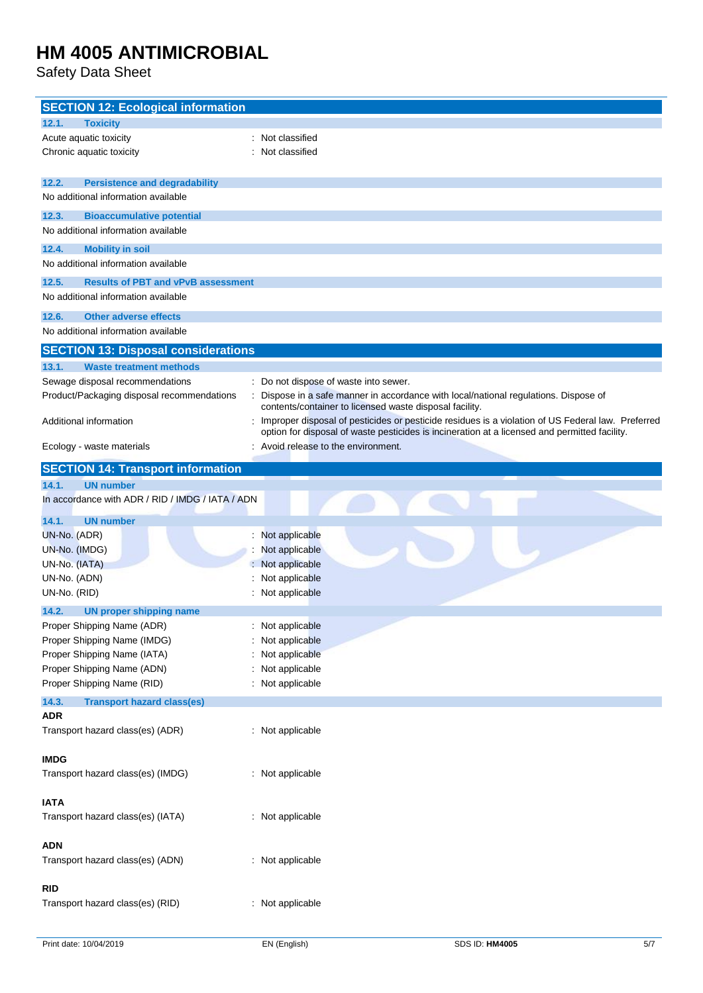Safety Data Sheet

| <b>SECTION 12: Ecological information</b>             |                                                                                                                                                                                                    |
|-------------------------------------------------------|----------------------------------------------------------------------------------------------------------------------------------------------------------------------------------------------------|
| 12.1.<br><b>Toxicity</b>                              |                                                                                                                                                                                                    |
| Acute aquatic toxicity                                | : Not classified                                                                                                                                                                                   |
| Chronic aquatic toxicity                              | Not classified                                                                                                                                                                                     |
| 12.2.<br><b>Persistence and degradability</b>         |                                                                                                                                                                                                    |
| No additional information available                   |                                                                                                                                                                                                    |
| 12.3.<br><b>Bioaccumulative potential</b>             |                                                                                                                                                                                                    |
| No additional information available                   |                                                                                                                                                                                                    |
| 12.4.<br><b>Mobility in soil</b>                      |                                                                                                                                                                                                    |
| No additional information available                   |                                                                                                                                                                                                    |
| 12.5.<br><b>Results of PBT and vPvB assessment</b>    |                                                                                                                                                                                                    |
| No additional information available                   |                                                                                                                                                                                                    |
| <b>Other adverse effects</b><br>12.6.                 |                                                                                                                                                                                                    |
| No additional information available                   |                                                                                                                                                                                                    |
| <b>SECTION 13: Disposal considerations</b>            |                                                                                                                                                                                                    |
| 13.1.<br><b>Waste treatment methods</b>               |                                                                                                                                                                                                    |
| Sewage disposal recommendations                       | : Do not dispose of waste into sewer.                                                                                                                                                              |
| Product/Packaging disposal recommendations            | Dispose in a safe manner in accordance with local/national regulations. Dispose of<br>contents/container to licensed waste disposal facility.                                                      |
| Additional information                                | Improper disposal of pesticides or pesticide residues is a violation of US Federal law. Preferred<br>option for disposal of waste pesticides is incineration at a licensed and permitted facility. |
| Ecology - waste materials                             | Avoid release to the environment.                                                                                                                                                                  |
| <b>SECTION 14: Transport information</b>              |                                                                                                                                                                                                    |
| 14.1.<br><b>UN number</b>                             |                                                                                                                                                                                                    |
| In accordance with ADR / RID / IMDG / IATA / ADN      |                                                                                                                                                                                                    |
| 14.1.<br><b>UN number</b>                             |                                                                                                                                                                                                    |
| UN-No. (ADR)                                          | : Not applicable                                                                                                                                                                                   |
| UN-No. (IMDG)                                         | Not applicable                                                                                                                                                                                     |
| UN-No. (IATA)                                         | : Not applicable                                                                                                                                                                                   |
| UN-No. (ADN)<br>UN-No. (RID)                          | Not applicable<br>: Not applicable                                                                                                                                                                 |
| 14.2.                                                 |                                                                                                                                                                                                    |
| UN proper shipping name<br>Proper Shipping Name (ADR) | : Not applicable                                                                                                                                                                                   |
| Proper Shipping Name (IMDG)                           | : Not applicable                                                                                                                                                                                   |
| Proper Shipping Name (IATA)                           | Not applicable                                                                                                                                                                                     |
| Proper Shipping Name (ADN)                            | : Not applicable                                                                                                                                                                                   |
| Proper Shipping Name (RID)                            | : Not applicable                                                                                                                                                                                   |
| 14.3.<br><b>Transport hazard class(es)</b>            |                                                                                                                                                                                                    |
| <b>ADR</b>                                            |                                                                                                                                                                                                    |
| Transport hazard class(es) (ADR)                      | : Not applicable                                                                                                                                                                                   |
|                                                       |                                                                                                                                                                                                    |
| <b>IMDG</b><br>Transport hazard class(es) (IMDG)      | : Not applicable                                                                                                                                                                                   |
|                                                       |                                                                                                                                                                                                    |
| <b>IATA</b>                                           |                                                                                                                                                                                                    |
| Transport hazard class(es) (IATA)                     | : Not applicable                                                                                                                                                                                   |
|                                                       |                                                                                                                                                                                                    |
| <b>ADN</b>                                            |                                                                                                                                                                                                    |
| Transport hazard class(es) (ADN)                      | : Not applicable                                                                                                                                                                                   |
| <b>RID</b>                                            |                                                                                                                                                                                                    |
| Transport hazard class(es) (RID)                      | : Not applicable                                                                                                                                                                                   |
|                                                       |                                                                                                                                                                                                    |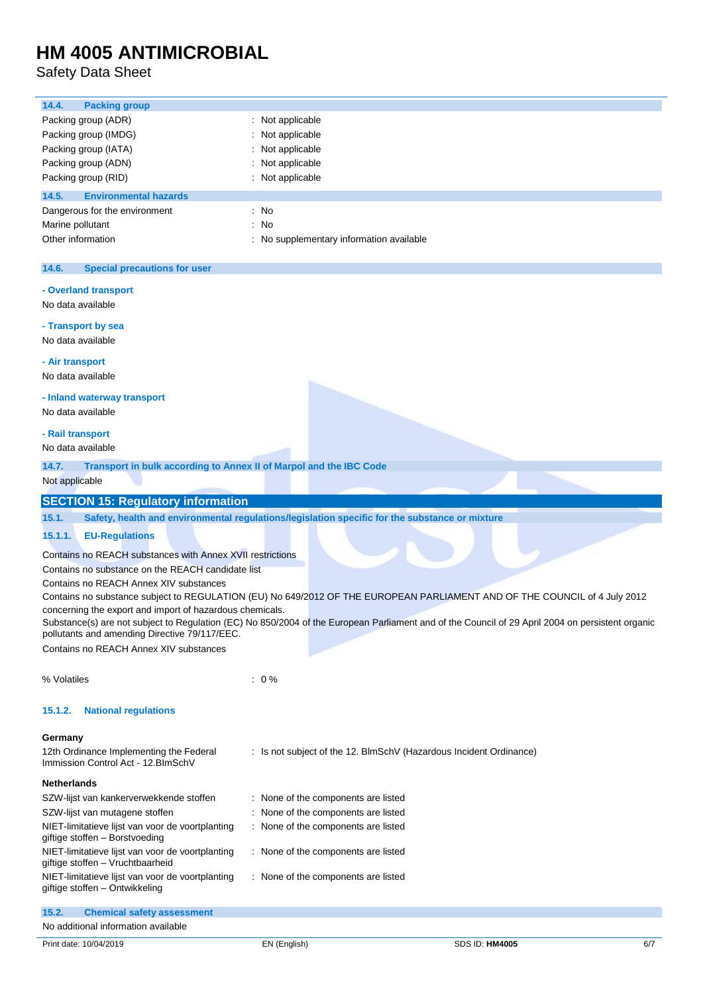Safety Data Sheet

| 14.4.<br><b>Packing group</b>                                                      |                                                                                                                                                  |
|------------------------------------------------------------------------------------|--------------------------------------------------------------------------------------------------------------------------------------------------|
| Packing group (ADR)                                                                | : Not applicable                                                                                                                                 |
| Packing group (IMDG)                                                               | Not applicable                                                                                                                                   |
| Packing group (IATA)                                                               | Not applicable                                                                                                                                   |
| Packing group (ADN)                                                                | Not applicable                                                                                                                                   |
| Packing group (RID)                                                                | : Not applicable                                                                                                                                 |
| 14.5.<br><b>Environmental hazards</b>                                              |                                                                                                                                                  |
| Dangerous for the environment                                                      | : No                                                                                                                                             |
|                                                                                    |                                                                                                                                                  |
| Marine pollutant                                                                   | : No                                                                                                                                             |
| Other information                                                                  | No supplementary information available                                                                                                           |
| 14.6.<br><b>Special precautions for user</b>                                       |                                                                                                                                                  |
| - Overland transport                                                               |                                                                                                                                                  |
| No data available                                                                  |                                                                                                                                                  |
|                                                                                    |                                                                                                                                                  |
| - Transport by sea                                                                 |                                                                                                                                                  |
| No data available                                                                  |                                                                                                                                                  |
| - Air transport                                                                    |                                                                                                                                                  |
| No data available                                                                  |                                                                                                                                                  |
|                                                                                    |                                                                                                                                                  |
| - Inland waterway transport                                                        |                                                                                                                                                  |
| No data available                                                                  |                                                                                                                                                  |
| - Rail transport                                                                   |                                                                                                                                                  |
| No data available                                                                  |                                                                                                                                                  |
|                                                                                    |                                                                                                                                                  |
| 14.7.<br>Transport in bulk according to Annex II of Marpol and the IBC Code        |                                                                                                                                                  |
|                                                                                    |                                                                                                                                                  |
| Not applicable                                                                     |                                                                                                                                                  |
| <b>SECTION 15: Regulatory information</b>                                          |                                                                                                                                                  |
| 15.1.                                                                              | Safety, health and environmental regulations/legislation specific for the substance or mixture                                                   |
|                                                                                    |                                                                                                                                                  |
| 15.1.1.<br><b>EU-Regulations</b>                                                   |                                                                                                                                                  |
| Contains no REACH substances with Annex XVII restrictions                          |                                                                                                                                                  |
| Contains no substance on the REACH candidate list                                  |                                                                                                                                                  |
| Contains no REACH Annex XIV substances                                             |                                                                                                                                                  |
|                                                                                    | Contains no substance subject to REGULATION (EU) No 649/2012 OF THE EUROPEAN PARLIAMENT AND OF THE COUNCIL of 4 July 2012                        |
| concerning the export and import of hazardous chemicals.                           |                                                                                                                                                  |
|                                                                                    | Substance(s) are not subject to Regulation (EC) No 850/2004 of the European Parliament and of the Council of 29 April 2004 on persistent organic |
| pollutants and amending Directive 79/117/EEC.                                      |                                                                                                                                                  |
| Contains no REACH Annex XIV substances                                             |                                                                                                                                                  |
|                                                                                    |                                                                                                                                                  |
| % Volatiles                                                                        | $: 0\%$                                                                                                                                          |
|                                                                                    |                                                                                                                                                  |
| 15.1.2.<br><b>National regulations</b>                                             |                                                                                                                                                  |
| Germany                                                                            |                                                                                                                                                  |
|                                                                                    |                                                                                                                                                  |
| 12th Ordinance Implementing the Federal<br>Immission Control Act - 12. BlmSchV     | : Is not subject of the 12. BlmSchV (Hazardous Incident Ordinance)                                                                               |
|                                                                                    |                                                                                                                                                  |
| <b>Netherlands</b>                                                                 |                                                                                                                                                  |
| SZW-lijst van kankerverwekkende stoffen                                            | : None of the components are listed                                                                                                              |
| SZW-lijst van mutagene stoffen                                                     | : None of the components are listed                                                                                                              |
| NIET-limitatieve lijst van voor de voortplanting                                   | : None of the components are listed                                                                                                              |
| giftige stoffen - Borstvoeding<br>NIET-limitatieve lijst van voor de voortplanting | : None of the components are listed                                                                                                              |
| giftige stoffen - Vruchtbaarheid                                                   |                                                                                                                                                  |

| 15.2. | <b>Chemical safety assessment</b>   |  |
|-------|-------------------------------------|--|
|       | No additional information available |  |

giftige stoffen – Ontwikkeling